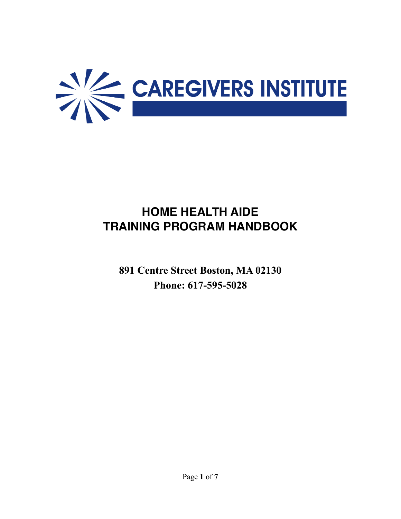

# **HOME HEALTH AIDE TRAINING PROGRAM HANDBOOK**

**891 Centre Street Boston, MA 02130 Phone: 617-595-5028**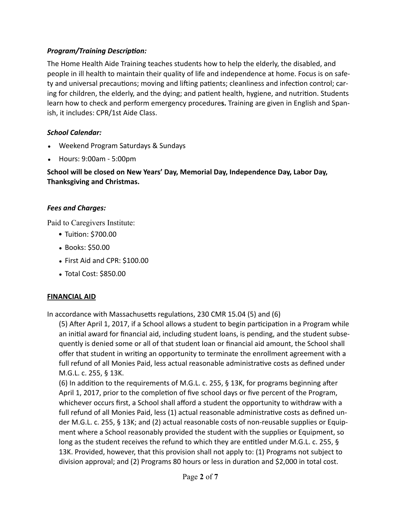# **Program/Training Description:**

The Home Health Aide Training teaches students how to help the elderly, the disabled, and people in ill health to maintain their quality of life and independence at home. Focus is on safety and universal precautions; moving and lifting patients; cleanliness and infection control; caring for children, the elderly, and the dying; and patient health, hygiene, and nutrition. Students learn how to check and perform emergency procedure**s.** Training are given in English and Spanish, it includes: CPR/1st Aide Class.

### *School Calendar:*

- Weekend Program Saturdays & Sundays
- Hours: 9:00am 5:00pm

**School will be closed on New Years' Day, Memorial Day, Independence Day, Labor Day, Thanksgiving and Christmas.**

# *Fees and Charges:*

Paid to Caregivers Institute:

- Tuition: \$700.00
- Books: \$50.00
- First Aid and CPR: \$100.00
- Total Cost: \$850.00

# **FINANCIAL AID**

In accordance with Massachusetts regulations, 230 CMR 15.04 (5) and (6)

(5) After April 1, 2017, if a School allows a student to begin participation in a Program while an initial award for financial aid, including student loans, is pending, and the student subsequently is denied some or all of that student loan or financial aid amount, the School shall offer that student in writing an opportunity to terminate the enrollment agreement with a full refund of all Monies Paid, less actual reasonable administrative costs as defined under M.G.L. c. 255, § 13K.

(6) In addition to the requirements of M.G.L. c. 255, § 13K, for programs beginning after April 1, 2017, prior to the completion of five school days or five percent of the Program, whichever occurs first, a School shall afford a student the opportunity to withdraw with a full refund of all Monies Paid, less (1) actual reasonable administrative costs as defined under M.G.L. c. 255, § 13K; and (2) actual reasonable costs of non-reusable supplies or Equipment where a School reasonably provided the student with the supplies or Equipment, so long as the student receives the refund to which they are entitled under M.G.L. c. 255, § 13K. Provided, however, that this provision shall not apply to: (1) Programs not subject to division approval; and (2) Programs 80 hours or less in duration and \$2,000 in total cost.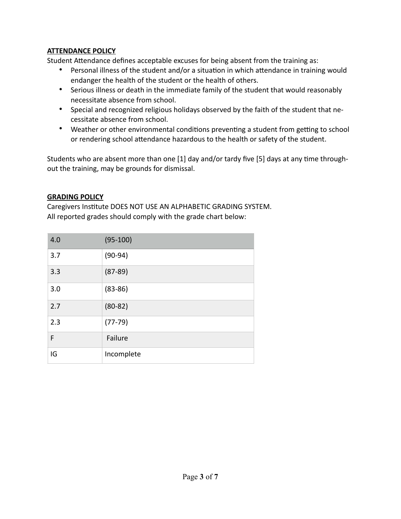### **ATTENDANCE POLICY**

Student Attendance defines acceptable excuses for being absent from the training as:

- Personal illness of the student and/or a situation in which attendance in training would endanger the health of the student or the health of others.
- Serious illness or death in the immediate family of the student that would reasonably necessitate absence from school.
- Special and recognized religious holidays observed by the faith of the student that necessitate absence from school.
- Weather or other environmental conditions preventing a student from getting to school or rendering school attendance hazardous to the health or safety of the student.

Students who are absent more than one  $[1]$  day and/or tardy five  $[5]$  days at any time throughout the training, may be grounds for dismissal.

#### **GRADING POLICY**

Caregivers Institute DOES NOT USE AN ALPHABETIC GRADING SYSTEM. All reported grades should comply with the grade chart below:

| 4.0 | $(95-100)$  |
|-----|-------------|
| 3.7 | $(90-94)$   |
| 3.3 | $(87-89)$   |
| 3.0 | $(83 - 86)$ |
| 2.7 | $(80-82)$   |
| 2.3 | $(77-79)$   |
| F   | Failure     |
| IG  | Incomplete  |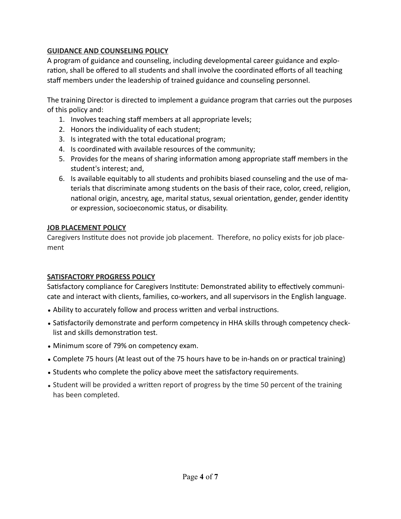# **GUIDANCE AND COUNSELING POLICY**

A program of guidance and counseling, including developmental career guidance and exploration, shall be offered to all students and shall involve the coordinated efforts of all teaching staff members under the leadership of trained guidance and counseling personnel.

The training Director is directed to implement a guidance program that carries out the purposes of this policy and:

- 1. Involves teaching staff members at all appropriate levels;
- 2. Honors the individuality of each student;
- 3. Is integrated with the total educational program;
- 4. Is coordinated with available resources of the community;
- 5. Provides for the means of sharing information among appropriate staff members in the student's interest; and,
- 6. Is available equitably to all students and prohibits biased counseling and the use of materials that discriminate among students on the basis of their race, color, creed, religion, national origin, ancestry, age, marital status, sexual orientation, gender, gender identity or expression, socioeconomic status, or disability.

#### **JOB PLACEMENT POLICY**

Caregivers Institute does not provide job placement. Therefore, no policy exists for job placement

# **SATISFACTORY PROGRESS POLICY**

Satisfactory compliance for Caregivers Institute: Demonstrated ability to effectively communicate and interact with clients, families, co-workers, and all supervisors in the English language.

- Ability to accurately follow and process written and verbal instructions.
- Satisfactorily demonstrate and perform competency in HHA skills through competency checklist and skills demonstration test.
- Minimum score of 79% on competency exam.
- Complete 75 hours (At least out of the 75 hours have to be in-hands on or practical training)
- Students who complete the policy above meet the satisfactory requirements.
- Student will be provided a written report of progress by the time 50 percent of the training has been completed.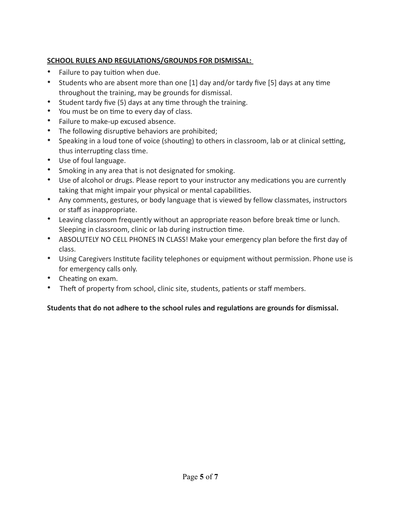# **SCHOOL RULES AND REGULATIONS/GROUNDS FOR DISMISSAL:**

- Failure to pay tuition when due.
- Students who are absent more than one  $[1]$  day and/or tardy five  $[5]$  days at any time throughout the training, may be grounds for dismissal.
- Student tardy five  $(5)$  days at any time through the training.
- You must be on time to every day of class.
- Failure to make-up excused absence.
- The following disruptive behaviors are prohibited;
- Speaking in a loud tone of voice (shouting) to others in classroom, lab or at clinical setting, thus interrupting class time.
- Use of foul language.
- Smoking in any area that is not designated for smoking.
- Use of alcohol or drugs. Please report to your instructor any medications you are currently taking that might impair your physical or mental capabilities.
- Any comments, gestures, or body language that is viewed by fellow classmates, instructors or staff as inappropriate.
- Leaving classroom frequently without an appropriate reason before break time or lunch. Sleeping in classroom, clinic or lab during instruction time.
- ABSOLUTELY NO CELL PHONES IN CLASS! Make your emergency plan before the first day of class.
- Using Caregivers Institute facility telephones or equipment without permission. Phone use is for emergency calls only.
- Cheating on exam.
- Theft of property from school, clinic site, students, patients or staff members.

# Students that do not adhere to the school rules and regulations are grounds for dismissal.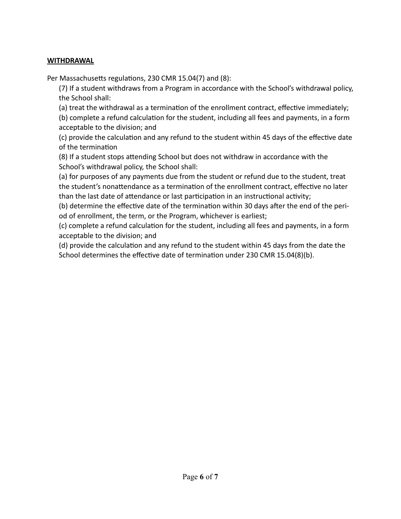#### **WITHDRAWAL**

Per Massachusetts regulations, 230 CMR 15.04(7) and (8):

(7) If a student withdraws from a Program in accordance with the School's withdrawal policy, the School shall:

(a) treat the withdrawal as a termination of the enrollment contract, effective immediately;

(b) complete a refund calculation for the student, including all fees and payments, in a form acceptable to the division; and

(c) provide the calculation and any refund to the student within 45 days of the effective date of the termination

(8) If a student stops attending School but does not withdraw in accordance with the School's withdrawal policy, the School shall:

(a) for purposes of any payments due from the student or refund due to the student, treat the student's nonattendance as a termination of the enrollment contract, effective no later than the last date of attendance or last participation in an instructional activity;

(b) determine the effective date of the termination within 30 days after the end of the period of enrollment, the term, or the Program, whichever is earliest;

(c) complete a refund calculation for the student, including all fees and payments, in a form acceptable to the division; and

(d) provide the calculation and any refund to the student within 45 days from the date the School determines the effective date of termination under 230 CMR 15.04(8)(b).